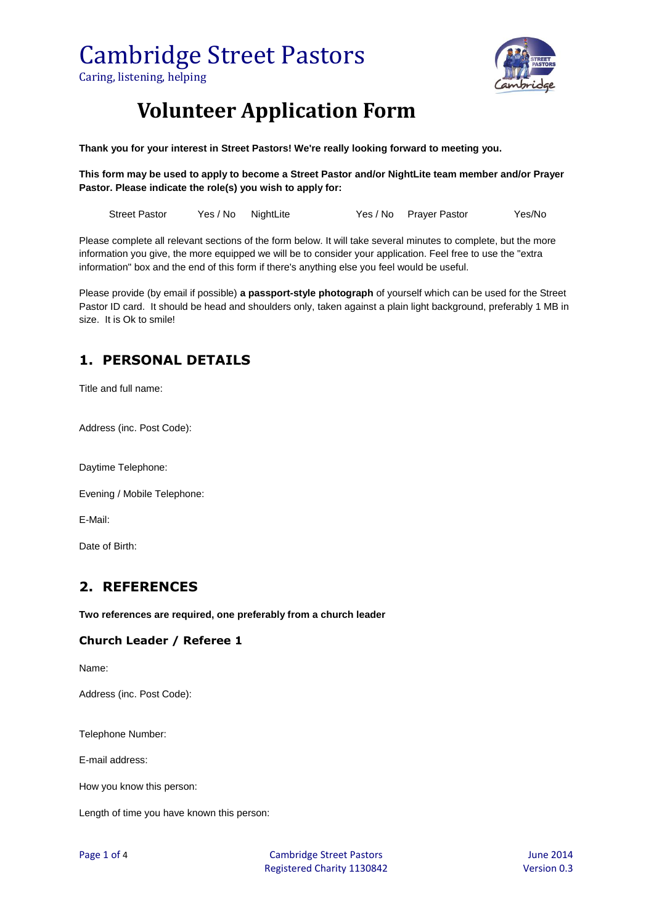# Cambridge Street Pastors

Caring, listening, helping



### **Volunteer Application Form**

**Thank you for your interest in Street Pastors! We're really looking forward to meeting you.**

**This form may be used to apply to become a Street Pastor and/or NightLite team member and/or Prayer Pastor. Please indicate the role(s) you wish to apply for:**

Street Pastor Yes / No NightLite Yes / No Prayer Pastor Yes/No

Please complete all relevant sections of the form below. It will take several minutes to complete, but the more information you give, the more equipped we will be to consider your application. Feel free to use the "extra information" box and the end of this form if there's anything else you feel would be useful.

Please provide (by email if possible) **a passport-style photograph** of yourself which can be used for the Street Pastor ID card. It should be head and shoulders only, taken against a plain light background, preferably 1 MB in size. It is Ok to smile!

#### **1. PERSONAL DETAILS**

Title and full name:

Address (inc. Post Code):

Daytime Telephone:

Evening / Mobile Telephone:

E-Mail:

Date of Birth:

#### **2. REFERENCES**

**Two references are required, one preferably from a church leader**

#### **Church Leader / Referee 1**

Name:

Address (inc. Post Code):

Telephone Number:

E-mail address:

How you know this person:

Length of time you have known this person: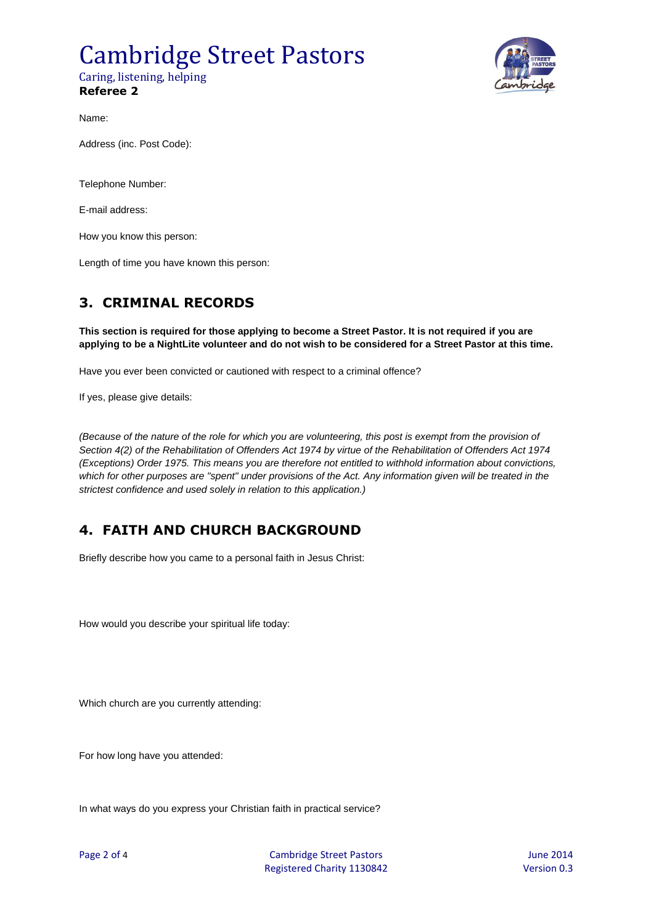#### Cambridge Street Pastors Caring, listening, helping **Referee 2**



Name:

Address (inc. Post Code):

Telephone Number:

E-mail address:

How you know this person:

Length of time you have known this person:

#### **3. CRIMINAL RECORDS**

**This section is required for those applying to become a Street Pastor. It is not required if you are applying to be a NightLite volunteer and do not wish to be considered for a Street Pastor at this time.**

Have you ever been convicted or cautioned with respect to a criminal offence?

If yes, please give details:

*(Because of the nature of the role for which you are volunteering, this post is exempt from the provision of Section 4(2) of the Rehabilitation of Offenders Act 1974 by virtue of the Rehabilitation of Offenders Act 1974 (Exceptions) Order 1975. This means you are therefore not entitled to withhold information about convictions, which for other purposes are "spent" under provisions of the Act. Any information given will be treated in the strictest confidence and used solely in relation to this application.)*

#### **4. FAITH AND CHURCH BACKGROUND**

Briefly describe how you came to a personal faith in Jesus Christ:

How would you describe your spiritual life today:

Which church are you currently attending:

For how long have you attended:

In what ways do you express your Christian faith in practical service?

Page 2 of 4 Cambridge Street Pastors 2014 Registered Charity 1130842 Version 0.3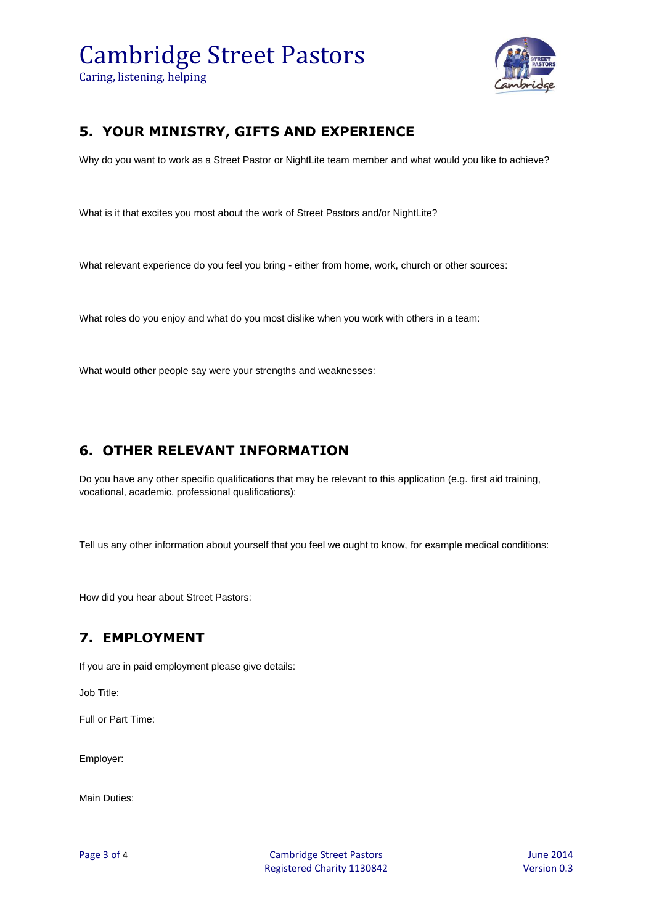## Cambridge Street Pastors

Caring, listening, helping



#### **5. YOUR MINISTRY, GIFTS AND EXPERIENCE**

Why do you want to work as a Street Pastor or NightLite team member and what would you like to achieve?

What is it that excites you most about the work of Street Pastors and/or NightLite?

What relevant experience do you feel you bring - either from home, work, church or other sources:

What roles do you enjoy and what do you most dislike when you work with others in a team:

What would other people say were your strengths and weaknesses:

#### **6. OTHER RELEVANT INFORMATION**

Do you have any other specific qualifications that may be relevant to this application (e.g. first aid training, vocational, academic, professional qualifications):

Tell us any other information about yourself that you feel we ought to know, for example medical conditions:

How did you hear about Street Pastors:

#### **7. EMPLOYMENT**

If you are in paid employment please give details:

Job Title:

Full or Part Time:

Employer:

Main Duties:

Page 3 of 4 Service 2014 Cambridge Street Pastors 3 Automobile 2014 Registered Charity 1130842 Version 0.3